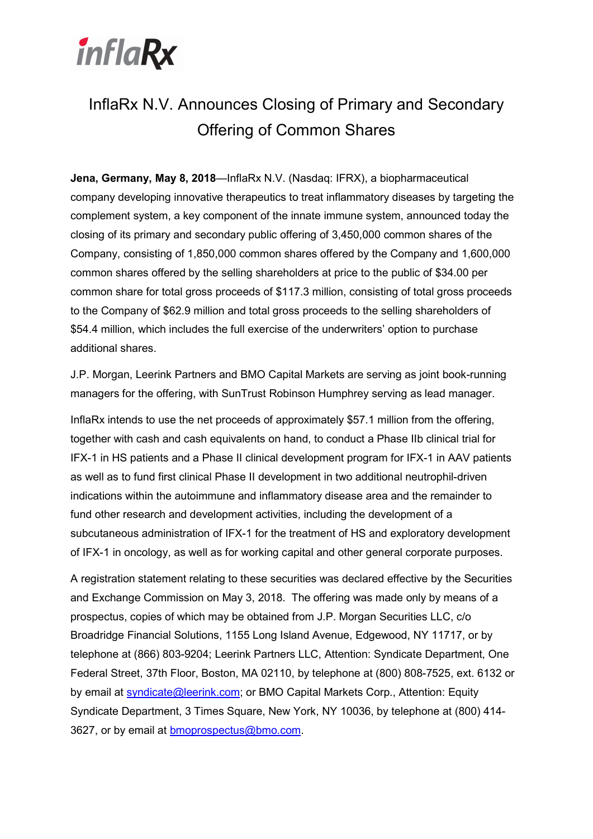

# InflaRx N.V. Announces Closing of Primary and Secondary Offering of Common Shares

Jena, Germany, May 8, 2018—InflaRx N.V. (Nasdaq: IFRX), a biopharmaceutical company developing innovative therapeutics to treat inflammatory diseases by targeting the complement system, a key component of the innate immune system, announced today the closing of its primary and secondary public offering of 3,450,000 common shares of the Company, consisting of 1,850,000 common shares offered by the Company and 1,600,000 common shares offered by the selling shareholders at price to the public of \$34.00 per common share for total gross proceeds of \$117.3 million, consisting of total gross proceeds to the Company of \$62.9 million and total gross proceeds to the selling shareholders of \$54.4 million, which includes the full exercise of the underwriters' option to purchase additional shares.

J.P. Morgan, Leerink Partners and BMO Capital Markets are serving as joint book-running managers for the offering, with SunTrust Robinson Humphrey serving as lead manager.

InflaRx intends to use the net proceeds of approximately \$57.1 million from the offering, together with cash and cash equivalents on hand, to conduct a Phase IIb clinical trial for IFX-1 in HS patients and a Phase II clinical development program for IFX-1 in AAV patients as well as to fund first clinical Phase II development in two additional neutrophil-driven indications within the autoimmune and inflammatory disease area and the remainder to fund other research and development activities, including the development of a subcutaneous administration of IFX-1 for the treatment of HS and exploratory development of IFX-1 in oncology, as well as for working capital and other general corporate purposes.

A registration statement relating to these securities was declared effective by the Securities and Exchange Commission on May 3, 2018. The offering was made only by means of a prospectus, copies of which may be obtained from J.P. Morgan Securities LLC, c/o Broadridge Financial Solutions, 1155 Long Island Avenue, Edgewood, NY 11717, or by telephone at (866) 803-9204; Leerink Partners LLC, Attention: Syndicate Department, One Federal Street, 37th Floor, Boston, MA 02110, by telephone at (800) 808-7525, ext. 6132 or by email at syndicate@leerink.com; or BMO Capital Markets Corp., Attention: Equity Syndicate Department, 3 Times Square, New York, NY 10036, by telephone at (800) 414- 3627, or by email at bmoprospectus@bmo.com.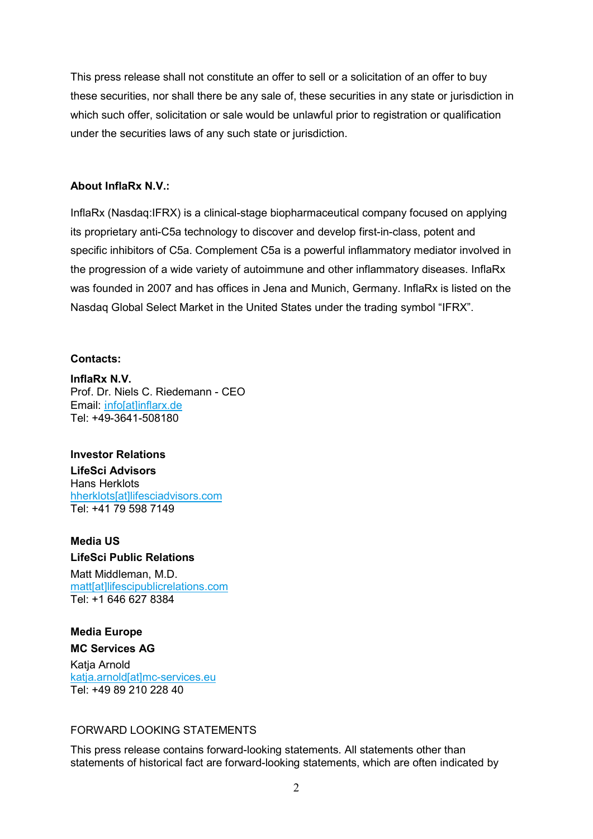This press release shall not constitute an offer to sell or a solicitation of an offer to buy these securities, nor shall there be any sale of, these securities in any state or jurisdiction in which such offer, solicitation or sale would be unlawful prior to registration or qualification under the securities laws of any such state or jurisdiction.

### About InflaRx N.V.:

InflaRx (Nasdaq:IFRX) is a clinical-stage biopharmaceutical company focused on applying its proprietary anti-C5a technology to discover and develop first-in-class, potent and specific inhibitors of C5a. Complement C5a is a powerful inflammatory mediator involved in the progression of a wide variety of autoimmune and other inflammatory diseases. InflaRx was founded in 2007 and has offices in Jena and Munich, Germany. InflaRx is listed on the Nasdaq Global Select Market in the United States under the trading symbol "IFRX".

### Contacts:

InflaRx N.V. Prof. Dr. Niels C. Riedemann - CEO Email: infolatlinflarx.de Tel: +49-3641-508180

#### Investor Relations LifeSci Advisors Hans Herklots hherklots[at]lifesciadvisors.com Tel: +41 79 598 7149

## Media US

LifeSci Public Relations Matt Middleman, M.D. matt[at]lifescipublicrelations.com Tel: +1 646 627 8384

### Media Europe

### MC Services AG

Katja Arnold katja.arnold[at]mc-services.eu Tel: +49 89 210 228 40

### FORWARD LOOKING STATEMENTS

This press release contains forward-looking statements. All statements other than statements of historical fact are forward-looking statements, which are often indicated by